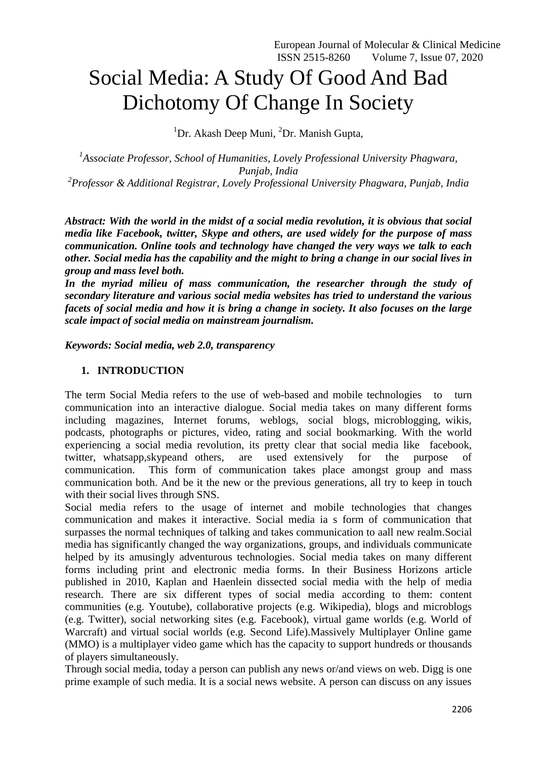# Social Media: A Study Of Good And Bad Dichotomy Of Change In Society

<sup>1</sup>Dr. Akash Deep Muni, <sup>2</sup>Dr. Manish Gupta,

<sup>1</sup> Associate Professor, School of Humanities, Lovely Professional University Phagwara, *Punjab, India 2 Professor & Additional Registrar, Lovely Professional University Phagwara, Punjab, India*

*Abstract: With the world in the midst of a social media revolution, it is obvious that social media like Facebook, twitter, Skype and others, are used widely for the purpose of mass communication. Online tools and technology have changed the very ways we talk to each other. Social media has the capability and the might to bring a change in our social lives in group and mass level both.*

In the myriad milieu of mass communication, the researcher through the study of *secondary literature and various social media websites has tried to understand the various facets of social media and how it is bring a change in society. It also focuses on the large scale impact of social media on mainstream journalism.*

*Keywords: Social media, web 2.0, transparency*

## **1. INTRODUCTION**

The term Social Media refers to the use of web-based and mobile technologies to turn communication into an interactive dialogue. Social media takes on many different forms including magazines, Internet forums, weblogs, social blogs, microblogging, wikis, podcasts, photographs or pictures, video, rating and social bookmarking. With the world experiencing a social media revolution, its pretty clear that social media like facebook, twitter, whatsapp,skypeand others, are used extensively for the purpose of communication. This form of communication takes place amongst group and mass communication both. And be it the new or the previous generations, all try to keep in touch with their social lives through SNS.

Social media refers to the usage of internet and mobile technologies that changes communication and makes it interactive. Social media ia s form of communication that surpasses the normal techniques of talking and takes communication to aall new realm.Social media has significantly changed the way organizations, groups, and individuals communicate helped by its amusingly adventurous technologies. Social media takes on many different forms including print and electronic media forms. In their Business Horizons article published in 2010, Kaplan and Haenlein dissected social media with the help of media research. There are six different types of social media according to them: content communities (e.g. Youtube), collaborative projects (e.g. Wikipedia), blogs and microblogs (e.g. Twitter), social networking sites (e.g. Facebook), virtual game worlds (e.g. World of Warcraft) and virtual social worlds (e.g. Second Life).Massively Multiplayer Online game (MMO) is a multiplayer video game which has the capacity to support hundreds or thousands of players simultaneously.

Through social media, today a person can publish any news or/and views on web. Digg is one prime example of such media. It is a social news website. A person can discuss on any issues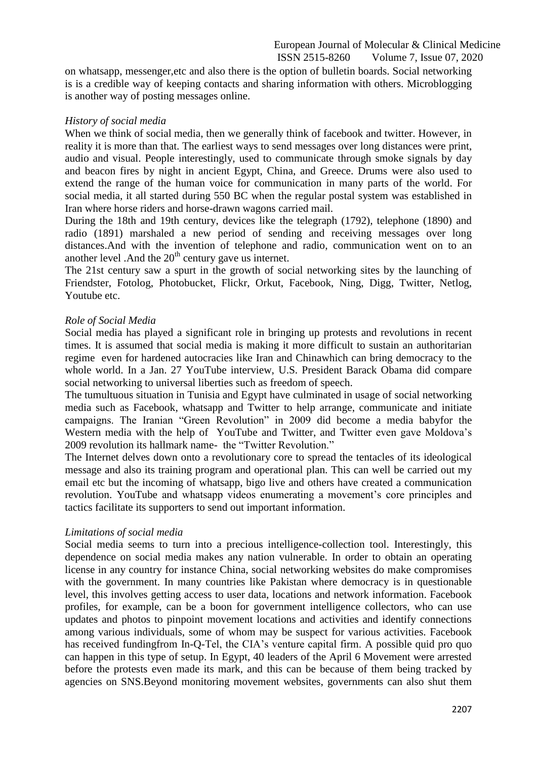on whatsapp, messenger,etc and also there is the option of bulletin boards. Social networking is is a credible way of keeping contacts and sharing information with others. Microblogging is another way of posting messages online.

#### *History of social media*

When we think of social media, then we generally think of facebook and twitter. However, in reality it is more than that. The earliest ways to send messages over long distances were print, audio and visual. People interestingly, used to communicate through smoke signals by day and beacon fires by night in ancient Egypt, China, and Greece. Drums were also used to extend the range of the human voice for communication in many parts of the world. For social media, it all started during 550 BC when the regular postal system was established in Iran where horse riders and horse-drawn wagons carried mail.

During the 18th and 19th century, devices like the telegraph (1792), telephone (1890) and radio (1891) marshaled a new period of sending and receiving messages over long distances.And with the invention of telephone and radio, communication went on to an another level .<br>And the  $20<sup>th</sup>$  century gave us internet.

The 21st century saw a spurt in the growth of social networking sites by the launching of Friendster, Fotolog, Photobucket, Flickr, Orkut, Facebook, Ning, Digg, Twitter, Netlog, Youtube etc.

#### *Role of Social Media*

Social media has played a significant role in bringing up protests and revolutions in recent times. It is assumed that social media is making it more difficult to sustain an authoritarian regime even for hardened autocracies like Iran and Chinawhich can bring democracy to the whole world. In a Jan. 27 YouTube interview, U.S. President Barack Obama did compare social networking to universal liberties such as freedom of speech.

The tumultuous situation in Tunisia and Egypt have culminated in usage of social networking media such as Facebook, whatsapp and Twitter to help arrange, communicate and initiate campaigns. The Iranian "Green Revolution" in 2009 did become a media babyfor the Western media with the help of YouTube and Twitter, and Twitter even gave Moldova's 2009 revolution its hallmark name- the "Twitter Revolution."

The Internet delves down onto a revolutionary core to spread the tentacles of its ideological message and also its training program and operational plan. This can well be carried out my email etc but the incoming of whatsapp, bigo live and others have created a communication revolution. YouTube and whatsapp videos enumerating a movement's core principles and tactics facilitate its supporters to send out important information.

## *Limitations of social media*

Social media seems to turn into a precious intelligence-collection tool. Interestingly, this dependence on social media makes any nation vulnerable. In order to obtain an operating license in any country for instance China, social networking websites do make compromises with the government. In many countries like Pakistan where democracy is in questionable level, this involves getting access to user data, locations and network information. Facebook profiles, for example, can be a boon for government intelligence collectors, who can use updates and photos to pinpoint movement locations and activities and identify connections among various individuals, some of whom may be suspect for various activities. Facebook has received fundingfrom In-Q-Tel, the CIA's venture capital firm. A possible quid pro quo can happen in this type of setup. In Egypt, 40 leaders of the April 6 Movement were arrested before the protests even made its mark, and this can be because of them being tracked by agencies on SNS.Beyond monitoring movement websites, governments can also shut them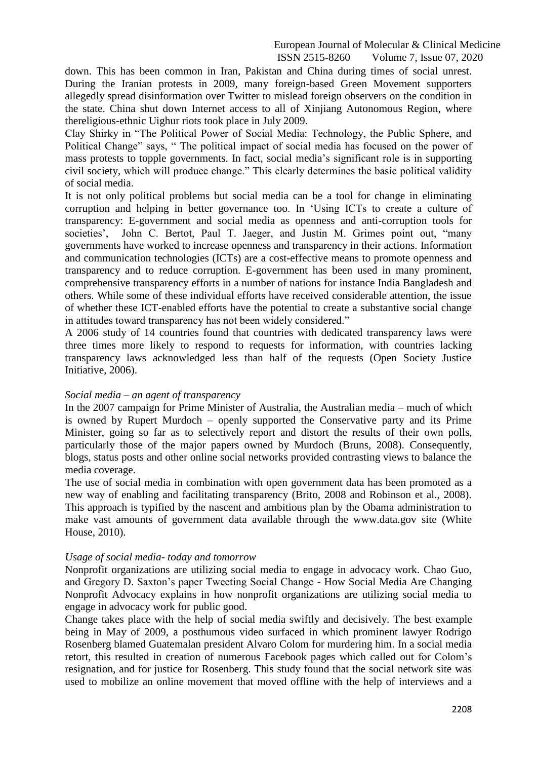down. This has been common in Iran, Pakistan and China during times of social unrest. During the Iranian protests in 2009, many foreign-based Green Movement supporters allegedly spread disinformation over Twitter to mislead foreign observers on the condition in the state. China shut down Internet access to all of Xinjiang Autonomous Region, where thereligious-ethnic Uighur riots took place in July 2009.

Clay Shirky in "The Political Power of Social Media: Technology, the Public Sphere, and Political Change" says, "The political impact of social media has focused on the power of mass protests to topple governments. In fact, social media's significant role is in supporting civil society, which will produce change." This clearly determines the basic political validity of social media.

It is not only political problems but social media can be a tool for change in eliminating corruption and helping in better governance too. In 'Using ICTs to create a culture of transparency: E-government and social media as openness and anti-corruption tools for societies', John C. Bertot, Paul T. Jaeger, and Justin M. Grimes point out, "many governments have worked to increase openness and transparency in their actions. Information and communication technologies (ICTs) are a cost-effective means to promote openness and transparency and to reduce corruption. E-government has been used in many prominent, comprehensive transparency efforts in a number of nations for instance India Bangladesh and others. While some of these individual efforts have received considerable attention, the issue of whether these ICT-enabled efforts have the potential to create a substantive social change in attitudes toward transparency has not been widely considered."

A 2006 study of 14 countries found that countries with dedicated transparency laws were three times more likely to respond to requests for information, with countries lacking transparency laws acknowledged less than half of the requests (Open Society Justice Initiative, 2006).

## *Social media – an agent of transparency*

In the 2007 campaign for Prime Minister of Australia, the Australian media – much of which is owned by Rupert Murdoch – openly supported the Conservative party and its Prime Minister, going so far as to selectively report and distort the results of their own polls, particularly those of the major papers owned by Murdoch (Bruns, 2008). Consequently, blogs, status posts and other online social networks provided contrasting views to balance the media coverage.

The use of social media in combination with open government data has been promoted as a new way of enabling and facilitating transparency (Brito, 2008 and Robinson et al., 2008). This approach is typified by the nascent and ambitious plan by the Obama administration to make vast amounts of government data available through the www.data.gov site (White House, 2010).

## *Usage of social media- today and tomorrow*

Nonprofit organizations are utilizing social media to engage in advocacy work. Chao Guo, and Gregory D. Saxton's paper Tweeting Social Change - How Social Media Are Changing Nonprofit Advocacy explains in how nonprofit organizations are utilizing social media to engage in advocacy work for public good.

Change takes place with the help of social media swiftly and decisively. The best example being in May of 2009, a posthumous video surfaced in which prominent lawyer Rodrigo Rosenberg blamed Guatemalan president Alvaro Colom for murdering him. In a social media retort, this resulted in creation of numerous Facebook pages which called out for Colom's resignation, and for justice for Rosenberg. This study found that the social network site was used to mobilize an online movement that moved offline with the help of interviews and a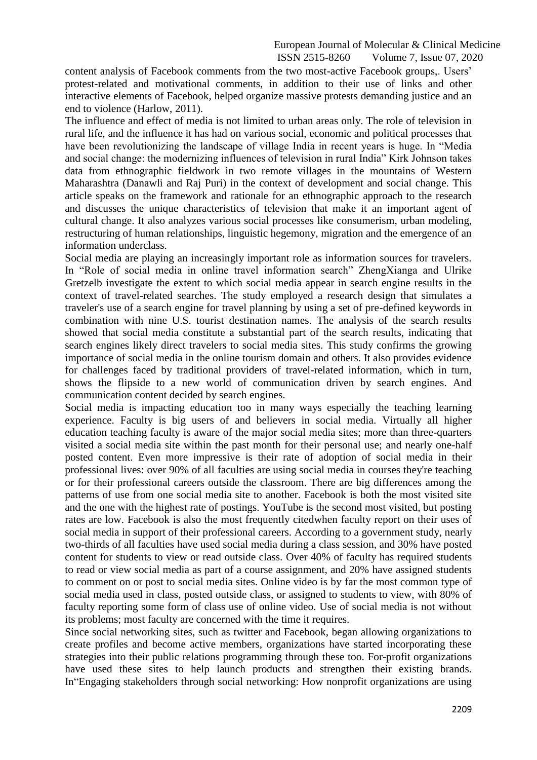content analysis of Facebook comments from the two most-active Facebook groups,. Users' protest-related and motivational comments, in addition to their use of links and other interactive elements of Facebook, helped organize massive protests demanding justice and an end to violence (Harlow, 2011).

The influence and effect of media is not limited to urban areas only. The role of television in rural life, and the influence it has had on various social, economic and political processes that have been revolutionizing the landscape of village India in recent years is huge. In "Media and social change: the modernizing influences of television in rural India" Kirk Johnson takes data from ethnographic fieldwork in two remote villages in the mountains of Western Maharashtra (Danawli and Raj Puri) in the context of development and social change. This article speaks on the framework and rationale for an ethnographic approach to the research and discusses the unique characteristics of television that make it an important agent of cultural change. It also analyzes various social processes like consumerism, urban modeling, restructuring of human relationships, linguistic hegemony, migration and the emergence of an information underclass.

Social media are playing an increasingly important role as information sources for travelers. In "Role of social media in online travel information search" ZhengXianga and Ulrike Gretzelb investigate the extent to which social media appear in search engine results in the context of travel-related searches. The study employed a research design that simulates a traveler's use of a search engine for travel planning by using a set of pre-defined keywords in combination with nine U.S. tourist destination names. The analysis of the search results showed that social media constitute a substantial part of the search results, indicating that search engines likely direct travelers to social media sites. This study confirms the growing importance of social media in the online tourism domain and others. It also provides evidence for challenges faced by traditional providers of travel-related information, which in turn, shows the flipside to a new world of communication driven by search engines. And communication content decided by search engines.

Social media is impacting education too in many ways especially the teaching learning experience. Faculty is big users of and believers in social media. Virtually all higher education teaching faculty is aware of the major social media sites; more than three-quarters visited a social media site within the past month for their personal use; and nearly one-half posted content. Even more impressive is their rate of adoption of social media in their professional lives: over 90% of all faculties are using social media in courses they're teaching or for their professional careers outside the classroom. There are big differences among the patterns of use from one social media site to another. Facebook is both the most visited site and the one with the highest rate of postings. YouTube is the second most visited, but posting rates are low. Facebook is also the most frequently citedwhen faculty report on their uses of social media in support of their professional careers. According to a government study, nearly two-thirds of all faculties have used social media during a class session, and 30% have posted content for students to view or read outside class. Over 40% of faculty has required students to read or view social media as part of a course assignment, and 20% have assigned students to comment on or post to social media sites. Online video is by far the most common type of social media used in class, posted outside class, or assigned to students to view, with 80% of faculty reporting some form of class use of online video. Use of social media is not without its problems; most faculty are concerned with the time it requires.

Since social networking sites, such as twitter and Facebook, began allowing organizations to create profiles and become active members, organizations have started incorporating these strategies into their public relations programming through these too. For-profit organizations have used these sites to help launch products and strengthen their existing brands. In "Engaging stakeholders through social networking: How nonprofit organizations are using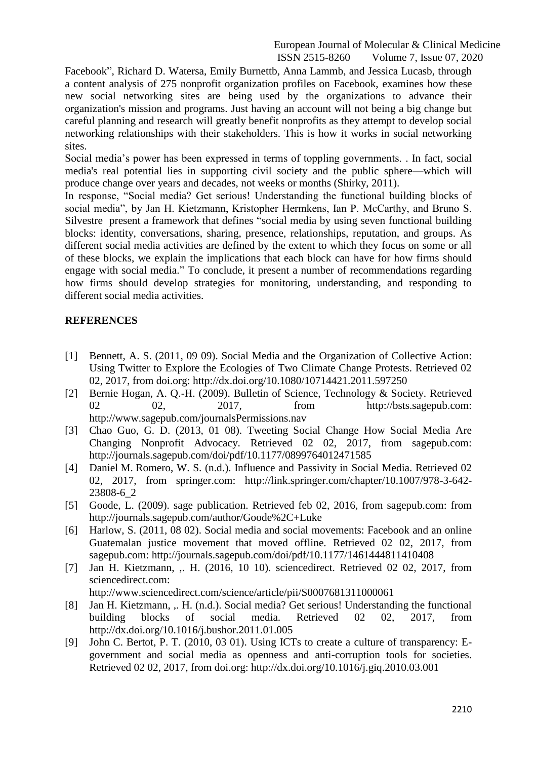Facebook", Richard D. Watersa, Emily Burnettb, Anna Lammb, and Jessica Lucasb, through a content analysis of 275 nonprofit organization profiles on Facebook, examines how these new social networking sites are being used by the organizations to advance their organization's mission and programs. Just having an account will not being a big change but careful planning and research will greatly benefit nonprofits as they attempt to develop social networking relationships with their stakeholders. This is how it works in social networking sites.

Social media's power has been expressed in terms of toppling governments. . In fact, social media's real potential lies in supporting civil society and the public sphere—which will produce change over years and decades, not weeks or months (Shirky, 2011).

In response, "Social media? Get serious! Understanding the functional building blocks of social media", by Jan H. Kietzmann, Kristopher Hermkens, Ian P. McCarthy, and Bruno S. Silvestre present a framework that defines "social media by using seven functional building blocks: identity, conversations, sharing, presence, relationships, reputation, and groups. As different social media activities are defined by the extent to which they focus on some or all of these blocks, we explain the implications that each block can have for how firms should engage with social media." To conclude, it present a number of recommendations regarding how firms should develop strategies for monitoring, understanding, and responding to different social media activities.

## **REFERENCES**

- [1] Bennett, A. S. (2011, 09 09). Social Media and the Organization of Collective Action: Using Twitter to Explore the Ecologies of Two Climate Change Protests. Retrieved 02 02, 2017, from doi.org: http://dx.doi.org/10.1080/10714421.2011.597250
- [2] Bernie Hogan, A. Q.-H. (2009). Bulletin of Science, Technology & Society. Retrieved 02 02, 2017, from http://bsts.sagepub.com: http://www.sagepub.com/journalsPermissions.nav
- [3] Chao Guo, G. D. (2013, 01 08). Tweeting Social Change How Social Media Are Changing Nonprofit Advocacy. Retrieved 02 02, 2017, from sagepub.com: http://journals.sagepub.com/doi/pdf/10.1177/0899764012471585
- [4] Daniel M. Romero, W. S. (n.d.). Influence and Passivity in Social Media. Retrieved 02 02, 2017, from springer.com: http://link.springer.com/chapter/10.1007/978-3-642- 23808-6\_2
- [5] Goode, L. (2009). sage publication. Retrieved feb 02, 2016, from sagepub.com: from http://journals.sagepub.com/author/Goode%2C+Luke
- [6] Harlow, S. (2011, 08 02). Social media and social movements: Facebook and an online Guatemalan justice movement that moved offline. Retrieved 02 02, 2017, from sagepub.com: http://journals.sagepub.com/doi/pdf/10.1177/1461444811410408
- [7] Jan H. Kietzmann, ,. H. (2016, 10 10). sciencedirect. Retrieved 02 02, 2017, from sciencedirect.com: http://www.sciencedirect.com/science/article/pii/S0007681311000061
- [8] Jan H. Kietzmann, ,. H. (n.d.). Social media? Get serious! Understanding the functional building blocks of social media. Retrieved 02 02, 2017, from http://dx.doi.org/10.1016/j.bushor.2011.01.005
- [9] John C. Bertot, P. T. (2010, 03 01). Using ICTs to create a culture of transparency: Egovernment and social media as openness and anti-corruption tools for societies. Retrieved 02 02, 2017, from doi.org: http://dx.doi.org/10.1016/j.giq.2010.03.001